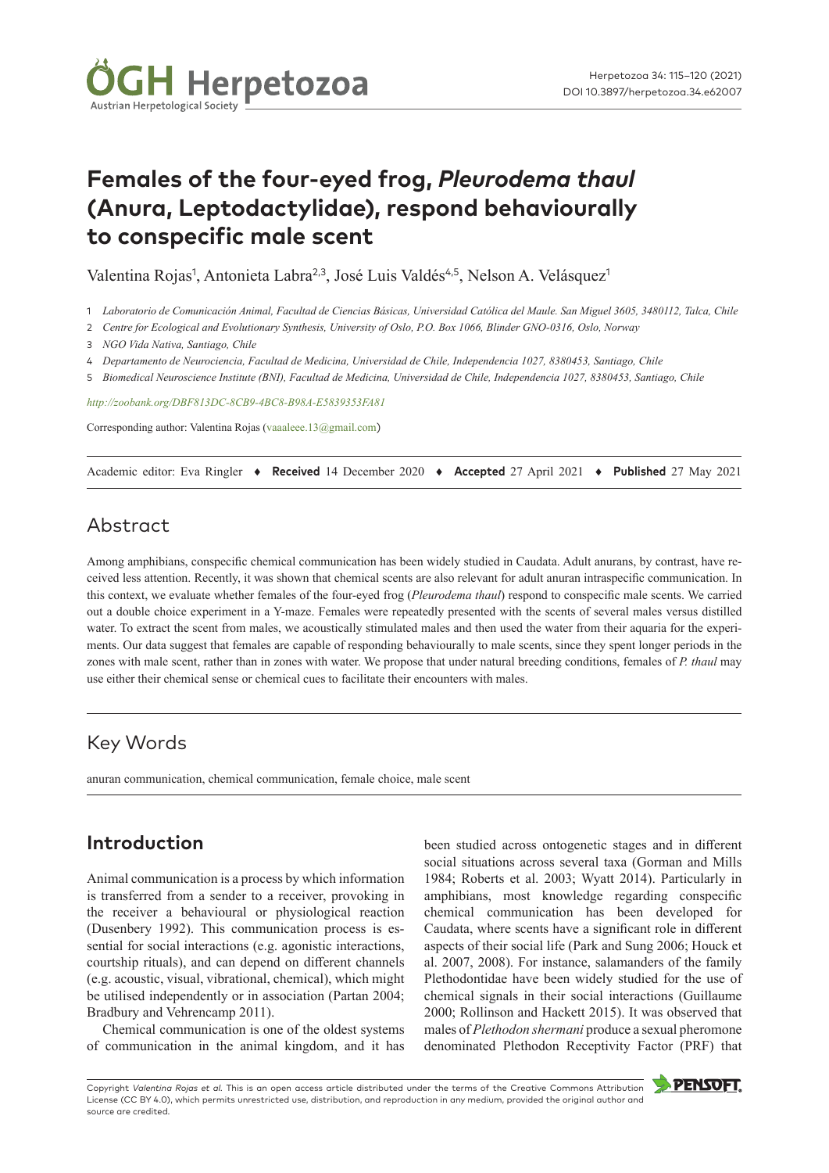

# **Females of the four-eyed frog,** *Pleurodema thaul* **(Anura, Leptodactylidae), respond behaviourally to conspecific male scent**

Valentina Rojas<sup>1</sup>, Antonieta Labra<sup>2,3</sup>, José Luis Valdés<sup>4,5</sup>, Nelson A. Velásquez<sup>1</sup>

- 1 *Laboratorio de Comunicación Animal, Facultad de Ciencias Básicas, Universidad Católica del Maule. San Miguel 3605, 3480112, Talca, Chile*
- 2 *Centre for Ecological and Evolutionary Synthesis, University of Oslo, P.O. Box 1066, Blinder GNO-0316, Oslo, Norway*
- 3 *NGO Vida Nativa, Santiago, Chile*
- 4 *Departamento de Neurociencia, Facultad de Medicina, Universidad de Chile, Independencia 1027, 8380453, Santiago, Chile*
- 5 *Biomedical Neuroscience Institute (BNI), Facultad de Medicina, Universidad de Chile, Independencia 1027, 8380453, Santiago, Chile*

*<http://zoobank.org/DBF813DC-8CB9-4BC8-B98A-E5839353FA81>*

Corresponding author: Valentina Rojas ([vaaaleee.13@gmail.com](mailto:vaaaleee.13@gmail.com))

Academic editor: Eva Ringler ♦ **Received** 14 December 2020 ♦ **Accepted** 27 April 2021 ♦ **Published** 27 May 2021

# Abstract

Among amphibians, conspecific chemical communication has been widely studied in Caudata. Adult anurans, by contrast, have received less attention. Recently, it was shown that chemical scents are also relevant for adult anuran intraspecific communication. In this context, we evaluate whether females of the four-eyed frog (*Pleurodema thaul*) respond to conspecific male scents. We carried out a double choice experiment in a Y-maze. Females were repeatedly presented with the scents of several males versus distilled water. To extract the scent from males, we acoustically stimulated males and then used the water from their aquaria for the experiments. Our data suggest that females are capable of responding behaviourally to male scents, since they spent longer periods in the zones with male scent, rather than in zones with water. We propose that under natural breeding conditions, females of *P. thaul* may use either their chemical sense or chemical cues to facilitate their encounters with males.

# Key Words

anuran communication, chemical communication, female choice, male scent

# **Introduction**

Animal communication is a process by which information is transferred from a sender to a receiver, provoking in the receiver a behavioural or physiological reaction (Dusenbery 1992). This communication process is essential for social interactions (e.g. agonistic interactions, courtship rituals), and can depend on different channels (e.g. acoustic, visual, vibrational, chemical), which might be utilised independently or in association (Partan 2004; Bradbury and Vehrencamp 2011).

Chemical communication is one of the oldest systems of communication in the animal kingdom, and it has been studied across ontogenetic stages and in different social situations across several taxa (Gorman and Mills 1984; Roberts et al. 2003; Wyatt 2014). Particularly in amphibians, most knowledge regarding conspecific chemical communication has been developed for Caudata, where scents have a significant role in different aspects of their social life (Park and Sung 2006; Houck et al. 2007, 2008). For instance, salamanders of the family Plethodontidae have been widely studied for the use of chemical signals in their social interactions (Guillaume 2000; Rollinson and Hackett 2015). It was observed that males of *Plethodon shermani* produce a sexual pheromone denominated Plethodon Receptivity Factor (PRF) that

Copyright *Valentina Rojas et al.* This is an open access article distributed under the terms of the [Creative Commons Attribution](http://creativecommons.org/licenses/by/4.0/)  [License \(CC BY 4.0\),](http://creativecommons.org/licenses/by/4.0/) which permits unrestricted use, distribution, and reproduction in any medium, provided the original author and source are credited.

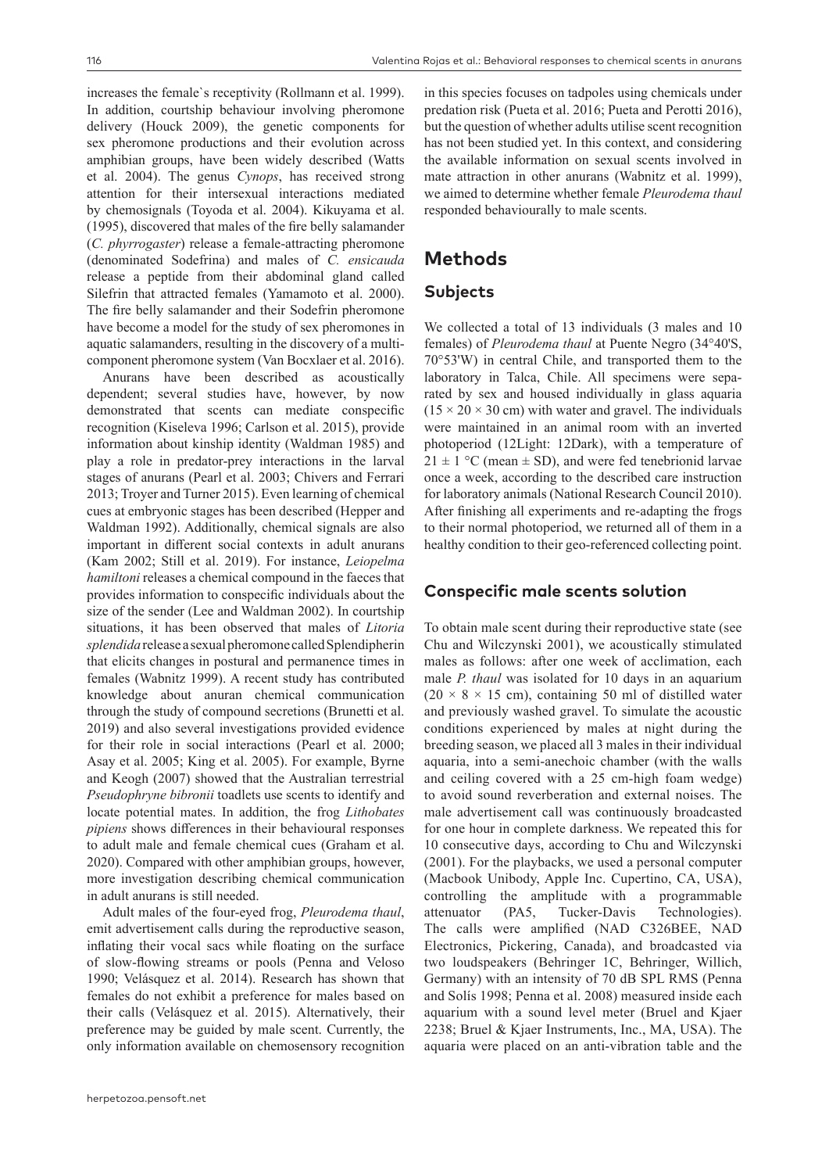increases the female`s receptivity (Rollmann et al. 1999). In addition, courtship behaviour involving pheromone delivery (Houck 2009), the genetic components for sex pheromone productions and their evolution across amphibian groups, have been widely described (Watts et al. 2004). The genus *Cynops*, has received strong attention for their intersexual interactions mediated by chemosignals (Toyoda et al. 2004). Kikuyama et al. (1995), discovered that males of the fire belly salamander (*C. phyrrogaster*) release a female-attracting pheromone (denominated Sodefrina) and males of *C. ensicauda* release a peptide from their abdominal gland called Silefrin that attracted females (Yamamoto et al. 2000). The fire belly salamander and their Sodefrin pheromone have become a model for the study of sex pheromones in aquatic salamanders, resulting in the discovery of a multicomponent pheromone system (Van Bocxlaer et al. 2016).

Anurans have been described as acoustically dependent; several studies have, however, by now demonstrated that scents can mediate conspecific recognition (Kiseleva 1996; Carlson et al. 2015), provide information about kinship identity (Waldman 1985) and play a role in predator-prey interactions in the larval stages of anurans (Pearl et al. 2003; Chivers and Ferrari 2013; Troyer and Turner 2015). Even learning of chemical cues at embryonic stages has been described (Hepper and Waldman 1992). Additionally, chemical signals are also important in different social contexts in adult anurans (Kam 2002; Still et al. 2019). For instance, *Leiopelma hamiltoni* releases a chemical compound in the faeces that provides information to conspecific individuals about the size of the sender (Lee and Waldman 2002). In courtship situations, it has been observed that males of *Litoria splendida* release a sexual pheromone called Splendipherin that elicits changes in postural and permanence times in females (Wabnitz 1999). A recent study has contributed knowledge about anuran chemical communication through the study of compound secretions (Brunetti et al. 2019) and also several investigations provided evidence for their role in social interactions (Pearl et al. 2000; Asay et al. 2005; King et al. 2005). For example, Byrne and Keogh (2007) showed that the Australian terrestrial *Pseudophryne bibronii* toadlets use scents to identify and locate potential mates. In addition, the frog *Lithobates pipiens* shows differences in their behavioural responses to adult male and female chemical cues (Graham et al. 2020). Compared with other amphibian groups, however, more investigation describing chemical communication in adult anurans is still needed.

Adult males of the four-eyed frog, *Pleurodema thaul*, emit advertisement calls during the reproductive season, inflating their vocal sacs while floating on the surface of slow-flowing streams or pools (Penna and Veloso 1990; Velásquez et al. 2014). Research has shown that females do not exhibit a preference for males based on their calls (Velásquez et al. 2015). Alternatively, their preference may be guided by male scent. Currently, the only information available on chemosensory recognition in this species focuses on tadpoles using chemicals under predation risk (Pueta et al. 2016; Pueta and Perotti 2016), but the question of whether adults utilise scent recognition has not been studied yet. In this context, and considering the available information on sexual scents involved in mate attraction in other anurans (Wabnitz et al. 1999), we aimed to determine whether female *Pleurodema thaul* responded behaviourally to male scents.

### **Methods**

### **Subjects**

We collected a total of 13 individuals (3 males and 10 females) of *Pleurodema thaul* at Puente Negro (34°40'S, 70°53'W) in central Chile, and transported them to the laboratory in Talca, Chile. All specimens were separated by sex and housed individually in glass aquaria  $(15 \times 20 \times 30$  cm) with water and gravel. The individuals were maintained in an animal room with an inverted photoperiod (12Light: 12Dark), with a temperature of  $21 \pm 1$  °C (mean  $\pm$  SD), and were fed tenebrionid larvae once a week, according to the described care instruction for laboratory animals (National Research Council 2010). After finishing all experiments and re-adapting the frogs to their normal photoperiod, we returned all of them in a healthy condition to their geo-referenced collecting point.

#### **Conspecific male scents solution**

To obtain male scent during their reproductive state (see Chu and Wilczynski 2001), we acoustically stimulated males as follows: after one week of acclimation, each male *P. thaul* was isolated for 10 days in an aquarium  $(20 \times 8 \times 15$  cm), containing 50 ml of distilled water and previously washed gravel. To simulate the acoustic conditions experienced by males at night during the breeding season, we placed all 3 males in their individual aquaria, into a semi-anechoic chamber (with the walls and ceiling covered with a 25 cm-high foam wedge) to avoid sound reverberation and external noises. The male advertisement call was continuously broadcasted for one hour in complete darkness. We repeated this for 10 consecutive days, according to Chu and Wilczynski (2001). For the playbacks, we used a personal computer (Macbook Unibody, Apple Inc. Cupertino, CA, USA), controlling the amplitude with a programmable attenuator (PA5, Tucker-Davis Technologies). The calls were amplified (NAD C326BEE, NAD Electronics, Pickering, Canada), and broadcasted via two loudspeakers (Behringer 1C, Behringer, Willich, Germany) with an intensity of 70 dB SPL RMS (Penna and Solís 1998; Penna et al. 2008) measured inside each aquarium with a sound level meter (Bruel and Kjaer 2238; Bruel & Kjaer Instruments, Inc., MA, USA). The aquaria were placed on an anti-vibration table and the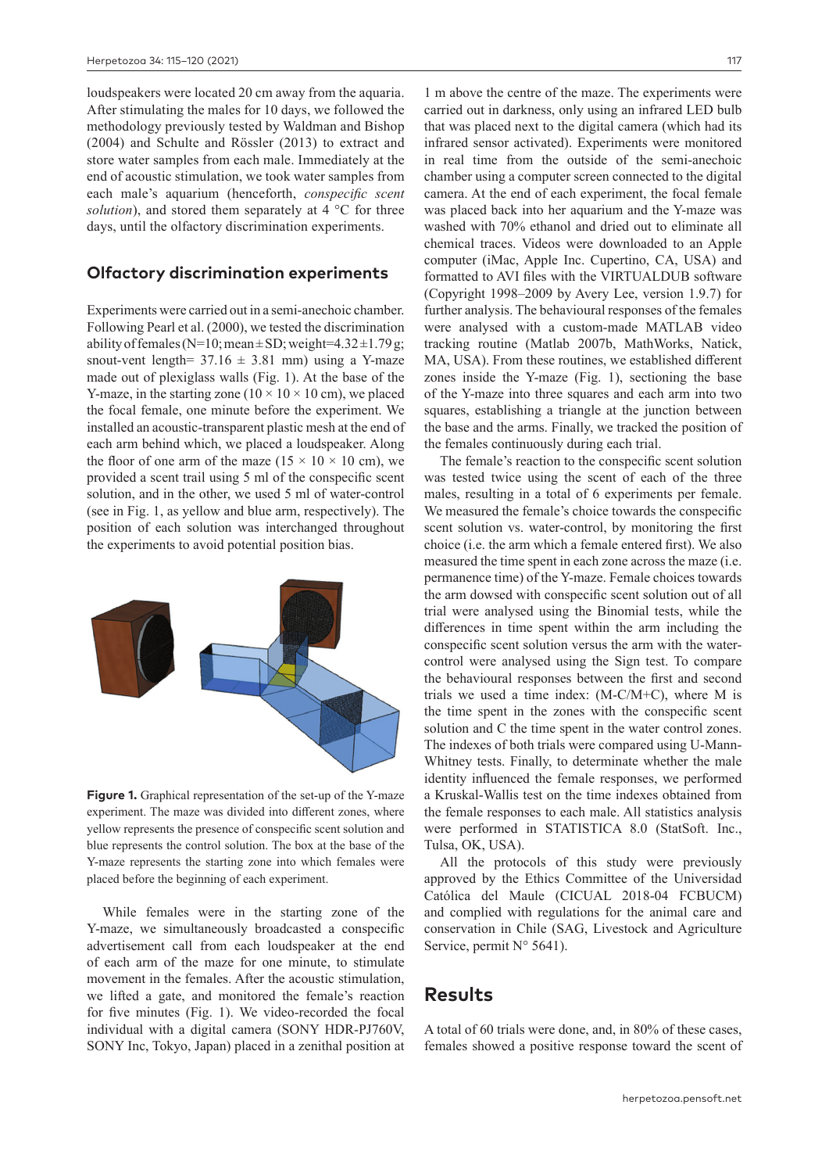loudspeakers were located 20 cm away from the aquaria. After stimulating the males for 10 days, we followed the methodology previously tested by Waldman and Bishop (2004) and Schulte and Rössler (2013) to extract and store water samples from each male. Immediately at the end of acoustic stimulation, we took water samples from each male's aquarium (henceforth, *conspecific scent solution*), and stored them separately at 4 °C for three days, until the olfactory discrimination experiments.

#### **Olfactory discrimination experiments**

Experiments were carried out in a semi-anechoic chamber. Following Pearl et al. (2000), we tested the discrimination ability of females (N=10; mean  $\pm$  SD; weight=4.32 $\pm$ 1.79g; snout-vent length=  $37.16 \pm 3.81$  mm) using a Y-maze made out of plexiglass walls (Fig. 1). At the base of the Y-maze, in the starting zone ( $10 \times 10 \times 10$  cm), we placed the focal female, one minute before the experiment. We installed an acoustic-transparent plastic mesh at the end of each arm behind which, we placed a loudspeaker. Along the floor of one arm of the maze  $(15 \times 10 \times 10 \text{ cm})$ , we provided a scent trail using 5 ml of the conspecific scent solution, and in the other, we used 5 ml of water-control (see in Fig. 1, as yellow and blue arm, respectively). The position of each solution was interchanged throughout the experiments to avoid potential position bias.



**Figure 1.** Graphical representation of the set-up of the Y-maze experiment. The maze was divided into different zones, where yellow represents the presence of conspecific scent solution and blue represents the control solution. The box at the base of the Y-maze represents the starting zone into which females were placed before the beginning of each experiment.

While females were in the starting zone of the Y-maze, we simultaneously broadcasted a conspecific advertisement call from each loudspeaker at the end of each arm of the maze for one minute, to stimulate movement in the females. After the acoustic stimulation, we lifted a gate, and monitored the female's reaction for five minutes (Fig. 1). We video-recorded the focal individual with a digital camera (SONY HDR-PJ760V, SONY Inc, Tokyo, Japan) placed in a zenithal position at

1 m above the centre of the maze. The experiments were carried out in darkness, only using an infrared LED bulb that was placed next to the digital camera (which had its infrared sensor activated). Experiments were monitored in real time from the outside of the semi-anechoic chamber using a computer screen connected to the digital camera. At the end of each experiment, the focal female was placed back into her aquarium and the Y-maze was washed with 70% ethanol and dried out to eliminate all chemical traces. Videos were downloaded to an Apple computer (iMac, Apple Inc. Cupertino, CA, USA) and formatted to AVI files with the VIRTUALDUB software (Copyright 1998–2009 by Avery Lee, version 1.9.7) for further analysis. The behavioural responses of the females were analysed with a custom-made MATLAB video tracking routine (Matlab 2007b, MathWorks, Natick, MA, USA). From these routines, we established different zones inside the Y-maze (Fig. 1), sectioning the base of the Y-maze into three squares and each arm into two squares, establishing a triangle at the junction between the base and the arms. Finally, we tracked the position of the females continuously during each trial.

The female's reaction to the conspecific scent solution was tested twice using the scent of each of the three males, resulting in a total of 6 experiments per female. We measured the female's choice towards the conspecific scent solution vs. water-control, by monitoring the first choice (i.e. the arm which a female entered first). We also measured the time spent in each zone across the maze (i.e. permanence time) of the Y-maze. Female choices towards the arm dowsed with conspecific scent solution out of all trial were analysed using the Binomial tests, while the differences in time spent within the arm including the conspecific scent solution versus the arm with the watercontrol were analysed using the Sign test. To compare the behavioural responses between the first and second trials we used a time index: (M-C/M+C), where M is the time spent in the zones with the conspecific scent solution and C the time spent in the water control zones. The indexes of both trials were compared using U-Mann-Whitney tests. Finally, to determinate whether the male identity influenced the female responses, we performed a Kruskal-Wallis test on the time indexes obtained from the female responses to each male. All statistics analysis were performed in STATISTICA 8.0 (StatSoft. Inc., Tulsa, OK, USA).

All the protocols of this study were previously approved by the Ethics Committee of the Universidad Católica del Maule (CICUAL 2018-04 FCBUCM) and complied with regulations for the animal care and conservation in Chile (SAG, Livestock and Agriculture Service, permit  $N^{\circ}$  5641).

### **Results**

A total of 60 trials were done, and, in 80% of these cases, females showed a positive response toward the scent of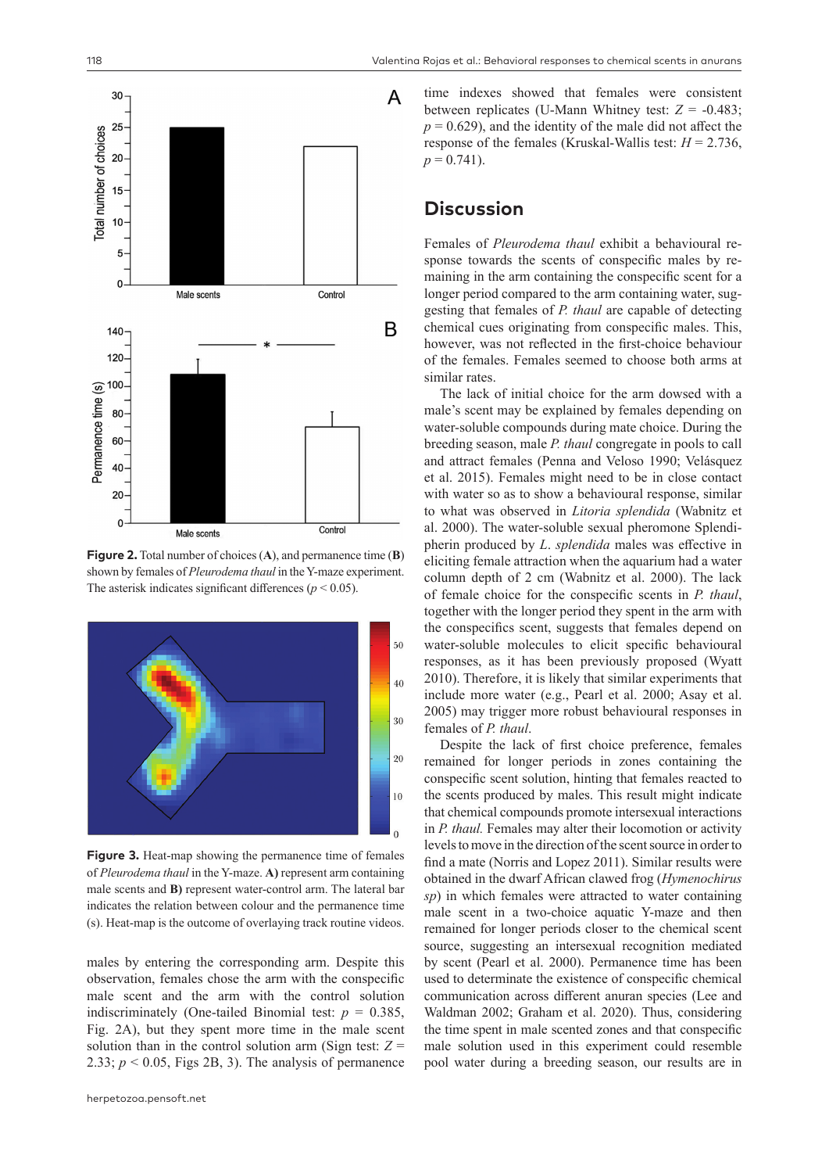

**Figure 2.** Total number of choices (**A**), and permanence time (**B**) shown by females of *Pleurodema thaul* in the Y-maze experiment. The asterisk indicates significant differences ( $p < 0.05$ ).



**Figure 3.** Heat-map showing the permanence time of females of *Pleurodema thaul* in the Y-maze. **A)** represent arm containing male scents and **B)** represent water-control arm. The lateral bar indicates the relation between colour and the permanence time (s). Heat-map is the outcome of overlaying track routine videos.

males by entering the corresponding arm. Despite this observation, females chose the arm with the conspecific male scent and the arm with the control solution indiscriminately (One-tailed Binomial test:  $p = 0.385$ , Fig. 2A), but they spent more time in the male scent solution than in the control solution arm (Sign test:  $Z =$ 2.33;  $p < 0.05$ , Figs 2B, 3). The analysis of permanence

time indexes showed that females were consistent between replicates (U-Mann Whitney test: *Z* = -0.483;  $p = 0.629$ , and the identity of the male did not affect the response of the females (Kruskal-Wallis test: *H* = 2.736,  $p = 0.741$ .

# **Discussion**

Females of *Pleurodema thaul* exhibit a behavioural response towards the scents of conspecific males by remaining in the arm containing the conspecific scent for a longer period compared to the arm containing water, suggesting that females of *P. thaul* are capable of detecting chemical cues originating from conspecific males. This, however, was not reflected in the first-choice behaviour of the females. Females seemed to choose both arms at similar rates.

The lack of initial choice for the arm dowsed with a male's scent may be explained by females depending on water-soluble compounds during mate choice. During the breeding season, male *P. thaul* congregate in pools to call and attract females (Penna and Veloso 1990; Velásquez et al. 2015). Females might need to be in close contact with water so as to show a behavioural response, similar to what was observed in *Litoria splendida* (Wabnitz et al. 2000). The water-soluble sexual pheromone Splendipherin produced by *L*. *splendida* males was effective in eliciting female attraction when the aquarium had a water column depth of 2 cm (Wabnitz et al. 2000). The lack of female choice for the conspecific scents in *P. thaul*, together with the longer period they spent in the arm with the conspecifics scent, suggests that females depend on water-soluble molecules to elicit specific behavioural responses, as it has been previously proposed (Wyatt 2010). Therefore, it is likely that similar experiments that include more water (e.g., Pearl et al. 2000; Asay et al. 2005) may trigger more robust behavioural responses in females of *P. thaul*.

Despite the lack of first choice preference, females remained for longer periods in zones containing the conspecific scent solution, hinting that females reacted to the scents produced by males. This result might indicate that chemical compounds promote intersexual interactions in *P. thaul.* Females may alter their locomotion or activity levels to move in the direction of the scent source in order to find a mate (Norris and Lopez 2011). Similar results were obtained in the dwarf African clawed frog (*Hymenochirus sp*) in which females were attracted to water containing male scent in a two-choice aquatic Y-maze and then remained for longer periods closer to the chemical scent source, suggesting an intersexual recognition mediated by scent (Pearl et al. 2000). Permanence time has been used to determinate the existence of conspecific chemical communication across different anuran species (Lee and Waldman 2002; Graham et al. 2020). Thus, considering the time spent in male scented zones and that conspecific male solution used in this experiment could resemble pool water during a breeding season, our results are in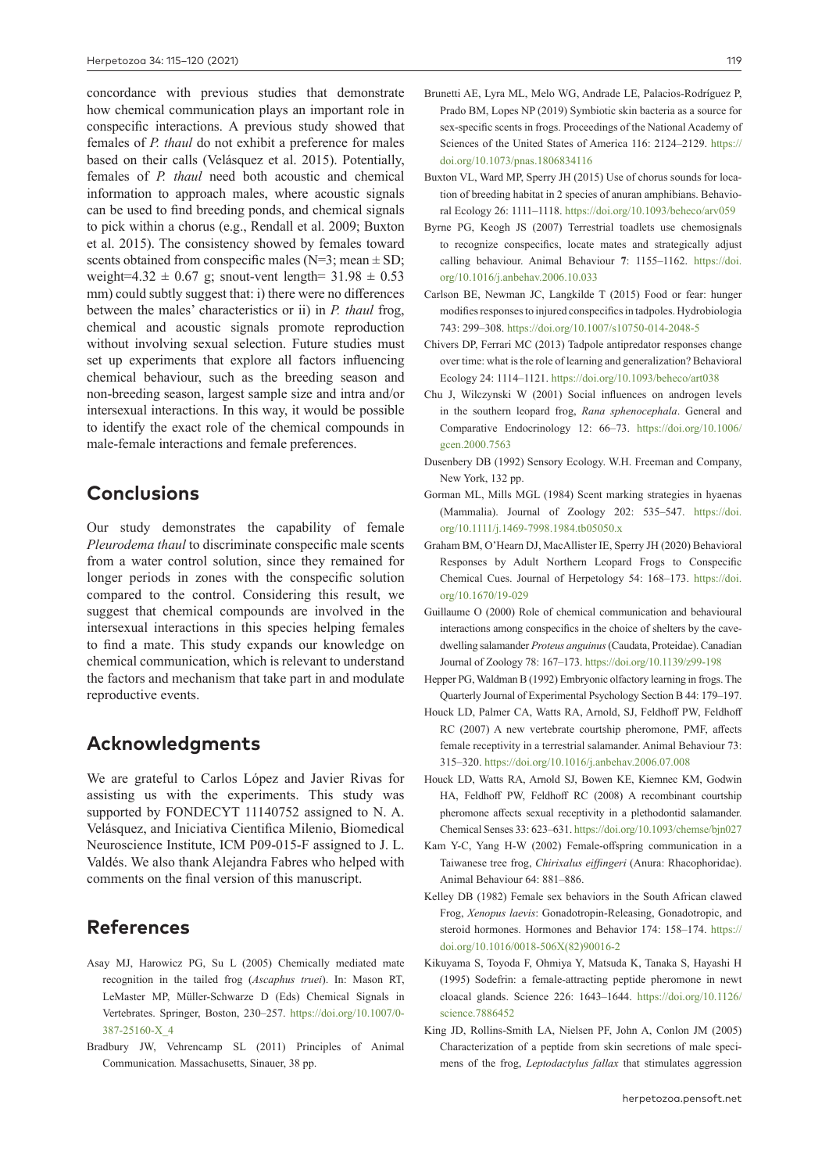concordance with previous studies that demonstrate how chemical communication plays an important role in conspecific interactions. A previous study showed that females of *P. thaul* do not exhibit a preference for males based on their calls (Velásquez et al. 2015). Potentially, females of *P. thaul* need both acoustic and chemical information to approach males, where acoustic signals can be used to find breeding ponds, and chemical signals to pick within a chorus (e.g., Rendall et al. 2009; Buxton et al. 2015). The consistency showed by females toward scents obtained from conspecific males (N=3; mean  $\pm$  SD; weight=4.32  $\pm$  0.67 g; snout-vent length= 31.98  $\pm$  0.53 mm) could subtly suggest that: i) there were no differences between the males' characteristics or ii) in *P. thaul* frog, chemical and acoustic signals promote reproduction without involving sexual selection. Future studies must set up experiments that explore all factors influencing chemical behaviour, such as the breeding season and non-breeding season, largest sample size and intra and/or intersexual interactions. In this way, it would be possible to identify the exact role of the chemical compounds in male-female interactions and female preferences.

### **Conclusions**

Our study demonstrates the capability of female *Pleurodema thaul* to discriminate conspecific male scents from a water control solution, since they remained for longer periods in zones with the conspecific solution compared to the control. Considering this result, we suggest that chemical compounds are involved in the intersexual interactions in this species helping females to find a mate. This study expands our knowledge on chemical communication, which is relevant to understand the factors and mechanism that take part in and modulate reproductive events.

### **Acknowledgments**

We are grateful to Carlos López and Javier Rivas for assisting us with the experiments. This study was supported by FONDECYT 11140752 assigned to N. A. Velásquez, and Iniciativa Cientifica Milenio, Biomedical Neuroscience Institute, ICM P09-015-F assigned to J. L. Valdés. We also thank Alejandra Fabres who helped with comments on the final version of this manuscript.

# **References**

- Asay MJ, Harowicz PG, Su L (2005) Chemically mediated mate recognition in the tailed frog (*Ascaphus truei*). In: Mason RT, LeMaster MP, Müller-Schwarze D (Eds) Chemical Signals in Vertebrates. Springer, Boston, 230–257. [https://doi.org/10.1007/0-](https://doi.org/10.1007/0-387-25160-X_4) [387-25160-X\\_4](https://doi.org/10.1007/0-387-25160-X_4)
- Bradbury JW, Vehrencamp SL (2011) Principles of Animal Communication*.* Massachusetts, Sinauer, 38 pp.
- Brunetti AE, Lyra ML, Melo WG, Andrade LE, Palacios-Rodríguez P, Prado BM, Lopes NP (2019) Symbiotic skin bacteria as a source for sex-specific scents in frogs. Proceedings of the National Academy of Sciences of the United States of America 116: 2124–2129. [https://](https://doi.org/10.1073/pnas.1806834116) [doi.org/10.1073/pnas.1806834116](https://doi.org/10.1073/pnas.1806834116)
- Buxton VL, Ward MP, Sperry JH (2015) Use of chorus sounds for location of breeding habitat in 2 species of anuran amphibians. Behavioral Ecology 26: 1111–1118. <https://doi.org/10.1093/beheco/arv059>
- Byrne PG, Keogh JS (2007) Terrestrial toadlets use chemosignals to recognize conspecifics, locate mates and strategically adjust calling behaviour. Animal Behaviour **7**: 1155–1162. [https://doi.](https://doi.org/10.1016/j.anbehav.2006.10.033) [org/10.1016/j.anbehav.2006.10.033](https://doi.org/10.1016/j.anbehav.2006.10.033)
- Carlson BE, Newman JC, Langkilde T (2015) Food or fear: hunger modifies responses to injured conspecifics in tadpoles. Hydrobiologia 743: 299–308. <https://doi.org/10.1007/s10750-014-2048-5>
- Chivers DP, Ferrari MC (2013) Tadpole antipredator responses change over time: what is the role of learning and generalization? Behavioral Ecology 24: 1114–1121. <https://doi.org/10.1093/beheco/art038>
- Chu J, Wilczynski W (2001) Social influences on androgen levels in the southern leopard frog, *Rana sphenocephala*. General and Comparative Endocrinology 12: 66–73. [https://doi.org/10.1006/](https://doi.org/10.1006/gcen.2000.7563) [gcen.2000.7563](https://doi.org/10.1006/gcen.2000.7563)
- Dusenbery DB (1992) Sensory Ecology. W.H. Freeman and Company, New York, 132 pp.
- Gorman ML, Mills MGL (1984) Scent marking strategies in hyaenas (Mammalia). Journal of Zoology 202: 535–547. [https://doi.](https://doi.org/10.1111/j.1469-7998.1984.tb05050.x) [org/10.1111/j.1469-7998.1984.tb05050.x](https://doi.org/10.1111/j.1469-7998.1984.tb05050.x)
- Graham BM, O'Hearn DJ, MacAllister IE, Sperry JH (2020) Behavioral Responses by Adult Northern Leopard Frogs to Conspecific Chemical Cues. Journal of Herpetology 54: 168–173. [https://doi.](https://doi.org/10.1670/19-029) [org/10.1670/19-029](https://doi.org/10.1670/19-029)
- Guillaume O (2000) Role of chemical communication and behavioural interactions among conspecifics in the choice of shelters by the cavedwelling salamander *Proteus anguinus* (Caudata, Proteidae). Canadian Journal of Zoology 78: 167–173.<https://doi.org/10.1139/z99-198>
- Hepper PG, Waldman B (1992) Embryonic olfactory learning in frogs. The Quarterly Journal of Experimental Psychology Section B 44: 179–197.
- Houck LD, Palmer CA, Watts RA, Arnold, SJ, Feldhoff PW, Feldhoff RC (2007) A new vertebrate courtship pheromone, PMF, affects female receptivity in a terrestrial salamander. Animal Behaviour 73: 315–320.<https://doi.org/10.1016/j.anbehav.2006.07.008>
- Houck LD, Watts RA, Arnold SJ, Bowen KE, Kiemnec KM, Godwin HA, Feldhoff PW, Feldhoff RC (2008) A recombinant courtship pheromone affects sexual receptivity in a plethodontid salamander. Chemical Senses 33: 623–631. <https://doi.org/10.1093/chemse/bjn027>
- Kam Y-C, Yang H-W (2002) Female-offspring communication in a Taiwanese tree frog, *Chirixalus eiffingeri* (Anura: Rhacophoridae). Animal Behaviour 64: 881–886.
- Kelley DB (1982) Female sex behaviors in the South African clawed Frog, *Xenopus laevis*: Gonadotropin-Releasing, Gonadotropic, and steroid hormones. Hormones and Behavior 174: 158–174. [https://](https://doi.org/10.1016/0018-506X(82)90016-2) [doi.org/10.1016/0018-506X\(82\)90016-2](https://doi.org/10.1016/0018-506X(82)90016-2)
- Kikuyama S, Toyoda F, Ohmiya Y, Matsuda K, Tanaka S, Hayashi H (1995) Sodefrin: a female-attracting peptide pheromone in newt cloacal glands. Science 226: 1643–1644. [https://doi.org/10.1126/](https://doi.org/10.1126/science.7886452) [science.7886452](https://doi.org/10.1126/science.7886452)
- King JD, Rollins-Smith LA, Nielsen PF, John A, Conlon JM (2005) Characterization of a peptide from skin secretions of male specimens of the frog, *Leptodactylus fallax* that stimulates aggression